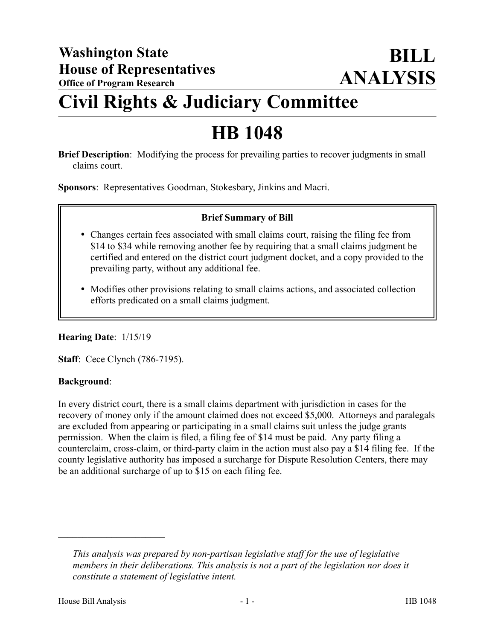# **Civil Rights & Judiciary Committee**

# **HB 1048**

**Brief Description**: Modifying the process for prevailing parties to recover judgments in small claims court.

**Sponsors**: Representatives Goodman, Stokesbary, Jinkins and Macri.

### **Brief Summary of Bill**

- Changes certain fees associated with small claims court, raising the filing fee from \$14 to \$34 while removing another fee by requiring that a small claims judgment be certified and entered on the district court judgment docket, and a copy provided to the prevailing party, without any additional fee.
- Modifies other provisions relating to small claims actions, and associated collection efforts predicated on a small claims judgment.

### **Hearing Date**: 1/15/19

**Staff**: Cece Clynch (786-7195).

### **Background**:

In every district court, there is a small claims department with jurisdiction in cases for the recovery of money only if the amount claimed does not exceed \$5,000. Attorneys and paralegals are excluded from appearing or participating in a small claims suit unless the judge grants permission. When the claim is filed, a filing fee of \$14 must be paid. Any party filing a counterclaim, cross-claim, or third-party claim in the action must also pay a \$14 filing fee. If the county legislative authority has imposed a surcharge for Dispute Resolution Centers, there may be an additional surcharge of up to \$15 on each filing fee.

––––––––––––––––––––––

*This analysis was prepared by non-partisan legislative staff for the use of legislative members in their deliberations. This analysis is not a part of the legislation nor does it constitute a statement of legislative intent.*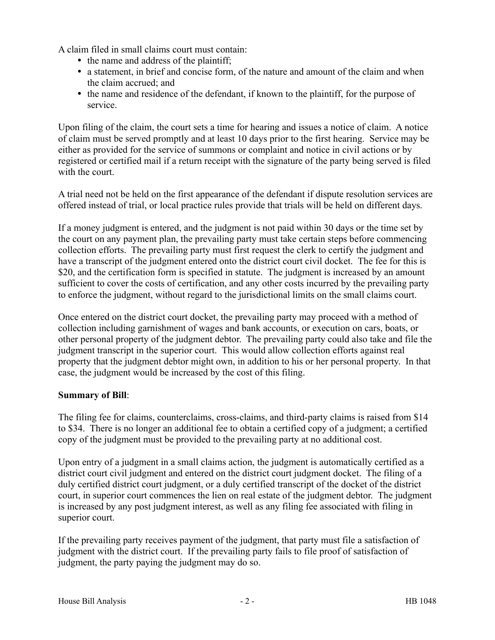A claim filed in small claims court must contain:

- the name and address of the plaintiff;
- a statement, in brief and concise form, of the nature and amount of the claim and when the claim accrued; and
- the name and residence of the defendant, if known to the plaintiff, for the purpose of service.

Upon filing of the claim, the court sets a time for hearing and issues a notice of claim. A notice of claim must be served promptly and at least 10 days prior to the first hearing. Service may be either as provided for the service of summons or complaint and notice in civil actions or by registered or certified mail if a return receipt with the signature of the party being served is filed with the court.

A trial need not be held on the first appearance of the defendant if dispute resolution services are offered instead of trial, or local practice rules provide that trials will be held on different days.

If a money judgment is entered, and the judgment is not paid within 30 days or the time set by the court on any payment plan, the prevailing party must take certain steps before commencing collection efforts. The prevailing party must first request the clerk to certify the judgment and have a transcript of the judgment entered onto the district court civil docket. The fee for this is \$20, and the certification form is specified in statute. The judgment is increased by an amount sufficient to cover the costs of certification, and any other costs incurred by the prevailing party to enforce the judgment, without regard to the jurisdictional limits on the small claims court.

Once entered on the district court docket, the prevailing party may proceed with a method of collection including garnishment of wages and bank accounts, or execution on cars, boats, or other personal property of the judgment debtor. The prevailing party could also take and file the judgment transcript in the superior court. This would allow collection efforts against real property that the judgment debtor might own, in addition to his or her personal property. In that case, the judgment would be increased by the cost of this filing.

### **Summary of Bill**:

The filing fee for claims, counterclaims, cross-claims, and third-party claims is raised from \$14 to \$34. There is no longer an additional fee to obtain a certified copy of a judgment; a certified copy of the judgment must be provided to the prevailing party at no additional cost.

Upon entry of a judgment in a small claims action, the judgment is automatically certified as a district court civil judgment and entered on the district court judgment docket. The filing of a duly certified district court judgment, or a duly certified transcript of the docket of the district court, in superior court commences the lien on real estate of the judgment debtor. The judgment is increased by any post judgment interest, as well as any filing fee associated with filing in superior court.

If the prevailing party receives payment of the judgment, that party must file a satisfaction of judgment with the district court. If the prevailing party fails to file proof of satisfaction of judgment, the party paying the judgment may do so.